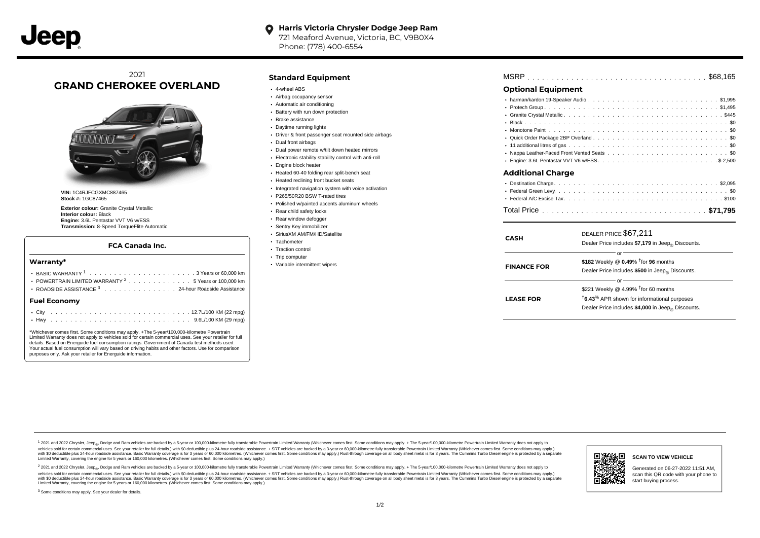#### **Harris Victoria Chrysler Dodge Jeep Ram**  $\bullet$

721 Meaford Avenue, Victoria, BC, V9B0X4 Phone: (778) 400-6554

# 2021 **GRAND CHEROKEE OVERLAND**



**VIN:** 1C4RJFCGXMC887465 **Stock #:** 1GC87465

**Exterior colour:** Granite Crystal Metallic **Interior colour:** Black **Engine:** 3.6L Pentastar VVT V6 w/ESS **Transmission:** 8-Speed TorqueFlite Automatic

#### **FCA Canada Inc.**

#### **Warranty\***

| POWERTRAIN LIMITED WARRANTY <sup>2</sup> 5 Years or 100,000 km |  |  |  |  |  |  |  |  |  |  |  |  |  |  |  |  |  |  |  |
|----------------------------------------------------------------|--|--|--|--|--|--|--|--|--|--|--|--|--|--|--|--|--|--|--|
| ROADSIDE ASSISTANCE 3 24-hour Roadside Assistance              |  |  |  |  |  |  |  |  |  |  |  |  |  |  |  |  |  |  |  |
| Fuel Economv                                                   |  |  |  |  |  |  |  |  |  |  |  |  |  |  |  |  |  |  |  |
|                                                                |  |  |  |  |  |  |  |  |  |  |  |  |  |  |  |  |  |  |  |
|                                                                |  |  |  |  |  |  |  |  |  |  |  |  |  |  |  |  |  |  |  |

\*Whichever comes first. Some conditions may apply. +The 5-year/100,000-kilometre Powertrain Limited Warranty does not apply to vehicles sold for certain commercial uses. See your retailer for full details. Based on Energuide fuel consumption ratings. Government of Canada test methods used. Your actual fuel consumption will vary based on driving habits and other factors. Use for comparison purposes only. Ask your retailer for Energuide information.

## **Standard Equipment**

- 4-wheel ABS
- Airbag occupancy sensor
- Automatic air conditioning
- Battery with run down protection
- Brake assistance
- Daytime running lights
- Driver & front passenger seat mounted side airbags
- Dual front airbags
- Dual power remote w/tilt down heated mirrors
- Electronic stability stability control with anti-roll
- **Engine block heater**
- Heated 60-40 folding rear split-bench seat
- Heated reclining front bucket seats
- $\cdot$  Integrated navigation system with voice activation
- P265/50R20 BSW T-rated tires
- Polished w/painted accents aluminum wheels
- Rear child safety locks
- Rear window defogger
- Sentry Key immobilizer
- SiriusXM AM/FM/HD/Satellite
- Tachometer
- Traction control
- Trip computer
- Variable intermittent wipers

| <b>MSRP</b> |  |  |  |  |  |  |  |  |  |  |  |  |  |  |  |  |  |  |  |  |  |  |  |  |  |  |  |  |  |  |  |  |  |  |  |  |  |  |  |  |
|-------------|--|--|--|--|--|--|--|--|--|--|--|--|--|--|--|--|--|--|--|--|--|--|--|--|--|--|--|--|--|--|--|--|--|--|--|--|--|--|--|--|
|-------------|--|--|--|--|--|--|--|--|--|--|--|--|--|--|--|--|--|--|--|--|--|--|--|--|--|--|--|--|--|--|--|--|--|--|--|--|--|--|--|--|

## **Optional Equipment**

| <b>Additional Charge</b> |        |
|--------------------------|--------|
|                          | $\sim$ |

| CASH               | DEALER PRICE \$67,211<br>Dealer Price includes \$7,179 in Jeep <sub>®</sub> Discounts.                                                                                               |
|--------------------|--------------------------------------------------------------------------------------------------------------------------------------------------------------------------------------|
| <b>FINANCE FOR</b> | Ωľ<br>\$182 Weekly @ $0.49\%$ <sup>†</sup> for 96 months<br>Dealer Price includes \$500 in Jeep <sub>®</sub> Discounts.                                                              |
| <b>LEASE FOR</b>   | or<br>\$221 Weekly @ 4.99% $†$ for 60 months<br><sup>t</sup> 6.43 <sup>%</sup> APR shown for informational purposes<br>Dealer Price includes \$4,000 in Jeep <sub>®</sub> Discounts. |

1 2021 and 2022 Chrysler, Jeep<sub>er</sub>, Dodge and Ram vehicles are backed by a 5-year or 100,000-kilometre fully transferable Powertrain Limited Warranty (Whichever comes first. Some conditions may apply. + The 5-year/100,000vehicles sold for certain commercial uses. See your retailer for full details.) with \$0 deductible plus 24-hour roadside assistance. + SRT vehicles are backed by a 3-year or 60,000-kilometre fully transferable Powertrain L versus and contract the mean of the contract of the contract with a contract with a contract the contract of the search of the contract and a control of the contract and contract and control of the search of the search of Limited Warranty, covering the engine for 5 years or 160,000 kilometres. (Whichever comes first. Some conditions may apply.)

<sup>2</sup> 2021 and 2022 Chrysler, Jeep<sub>®</sub>, Dodge and Ram vehicles are backed by a 5-year or 100,000-kilometre fully transferable Powertrain Limited Warranty (Whichever comes first. Some conditions may apply. + The 5-year/100,000 vehicles sold for certain commercial uses. See your retailer for full details.) with SO deductible plus 24-hour roadside assistance. + SRT vehicles are backed by a 3-year or 60.000-kilometre fully transferable Powertrain L with S0 deductible plus 24-hour roadside assistance. Basic Warranty coverage is for 3 years or 60,000 kilometres. (Whichever comes first. Some conditions may apply.) Rust-through coverage on all body sheet metal is for 3 y



#### **SCAN TO VIEW VEHICLE**

Generated on 06-27-2022 11:51 AM, scan this QR code with your phone to start buying process.

<sup>3</sup> Some conditions may apply. See your dealer for details.